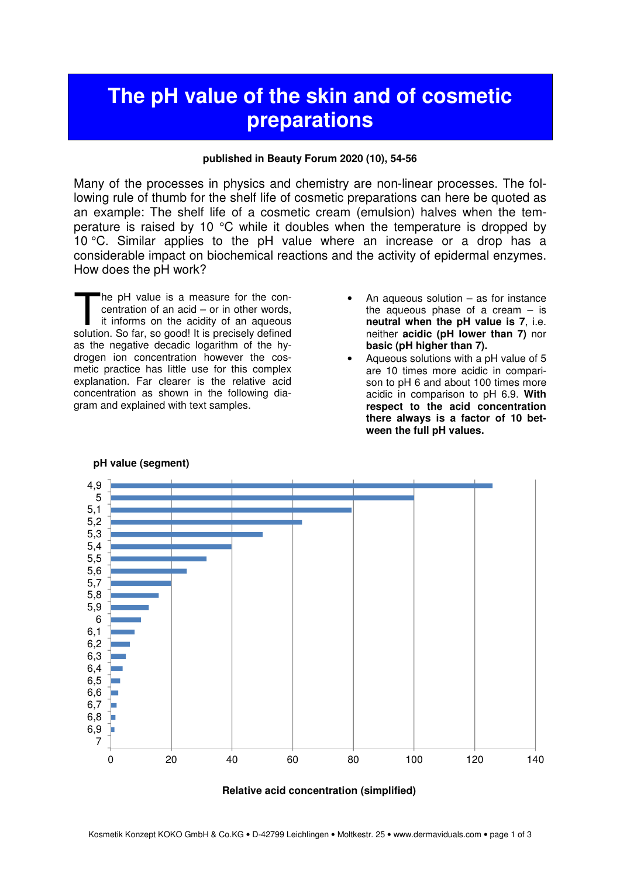# **The pH value of the skin and of cosmetic preparations**

### **published in Beauty Forum 2020 (10), 54-56**

Many of the processes in physics and chemistry are non-linear processes. The following rule of thumb for the shelf life of cosmetic preparations can here be quoted as an example: The shelf life of a cosmetic cream (emulsion) halves when the temperature is raised by 10 °C while it doubles when the temperature is dropped by 10 °C. Similar applies to the pH value where an increase or a drop has a considerable impact on biochemical reactions and the activity of epidermal enzymes. How does the pH work?

he pH value is a measure for the concentration of an acid – or in other words, it informs on the acidity of an aqueous The pH value is a measure for the concentration of an acid – or in other words, it informs on the acidity of an aqueous solution. So far, so good! It is precisely defined as the negative decadic logarithm of the hydrogen ion concentration however the cosmetic practice has little use for this complex explanation. Far clearer is the relative acid concentration as shown in the following diagram and explained with text samples.

- An aqueous solution  $-$  as for instance the aqueous phase of a cream  $-$  is **neutral when the pH value is 7**, i.e. neither **acidic (pH lower than 7)** nor **basic (pH higher than 7).**
- Aqueous solutions with a pH value of 5 are 10 times more acidic in comparison to pH 6 and about 100 times more acidic in comparison to pH 6.9. **With respect to the acid concentration there always is a factor of 10 between the full pH values.**



### **pH value (segment)**

#### **Relative acid concentration (simplified)**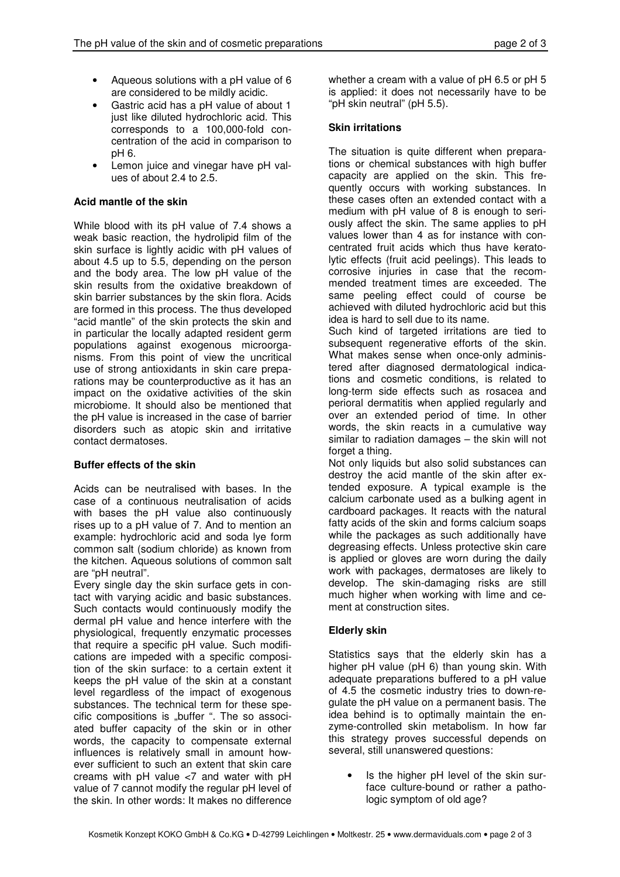- Aqueous solutions with a pH value of 6 are considered to be mildly acidic.
- Gastric acid has a pH value of about 1 just like diluted hydrochloric acid. This corresponds to a 100,000-fold concentration of the acid in comparison to pH 6.
- Lemon juice and vinegar have pH values of about 2.4 to 2.5.

# **Acid mantle of the skin**

While blood with its pH value of 7.4 shows a weak basic reaction, the hydrolipid film of the skin surface is lightly acidic with pH values of about 4.5 up to 5.5, depending on the person and the body area. The low pH value of the skin results from the oxidative breakdown of skin barrier substances by the skin flora. Acids are formed in this process. The thus developed "acid mantle" of the skin protects the skin and in particular the locally adapted resident germ populations against exogenous microorganisms. From this point of view the uncritical use of strong antioxidants in skin care preparations may be counterproductive as it has an impact on the oxidative activities of the skin microbiome. It should also be mentioned that the pH value is increased in the case of barrier disorders such as atopic skin and irritative contact dermatoses.

## **Buffer effects of the skin**

Acids can be neutralised with bases. In the case of a continuous neutralisation of acids with bases the pH value also continuously rises up to a pH value of 7. And to mention an example: hydrochloric acid and soda lye form common salt (sodium chloride) as known from the kitchen. Aqueous solutions of common salt are "pH neutral".

Every single day the skin surface gets in contact with varying acidic and basic substances. Such contacts would continuously modify the dermal pH value and hence interfere with the physiological, frequently enzymatic processes that require a specific pH value. Such modifications are impeded with a specific composition of the skin surface: to a certain extent it keeps the pH value of the skin at a constant level regardless of the impact of exogenous substances. The technical term for these specific compositions is "buffer ". The so associated buffer capacity of the skin or in other words, the capacity to compensate external influences is relatively small in amount however sufficient to such an extent that skin care creams with pH value <7 and water with pH value of 7 cannot modify the regular pH level of the skin. In other words: It makes no difference

whether a cream with a value of pH 6.5 or pH 5 is applied: it does not necessarily have to be "pH skin neutral" (pH 5.5).

# **Skin irritations**

The situation is quite different when preparations or chemical substances with high buffer capacity are applied on the skin. This frequently occurs with working substances. In these cases often an extended contact with a medium with pH value of 8 is enough to seriously affect the skin. The same applies to pH values lower than 4 as for instance with concentrated fruit acids which thus have keratolytic effects (fruit acid peelings). This leads to corrosive injuries in case that the recommended treatment times are exceeded. The same peeling effect could of course be achieved with diluted hydrochloric acid but this idea is hard to sell due to its name.

Such kind of targeted irritations are tied to subsequent regenerative efforts of the skin. What makes sense when once-only administered after diagnosed dermatological indications and cosmetic conditions, is related to long-term side effects such as rosacea and perioral dermatitis when applied regularly and over an extended period of time. In other words, the skin reacts in a cumulative way similar to radiation damages – the skin will not forget a thing.

Not only liquids but also solid substances can destroy the acid mantle of the skin after extended exposure. A typical example is the calcium carbonate used as a bulking agent in cardboard packages. It reacts with the natural fatty acids of the skin and forms calcium soaps while the packages as such additionally have degreasing effects. Unless protective skin care is applied or gloves are worn during the daily work with packages, dermatoses are likely to develop. The skin-damaging risks are still much higher when working with lime and cement at construction sites.

## **Elderly skin**

Statistics says that the elderly skin has a higher pH value (pH 6) than young skin. With adequate preparations buffered to a pH value of 4.5 the cosmetic industry tries to down-regulate the pH value on a permanent basis. The idea behind is to optimally maintain the enzyme-controlled skin metabolism. In how far this strategy proves successful depends on several, still unanswered questions:

• Is the higher pH level of the skin surface culture-bound or rather a pathologic symptom of old age?